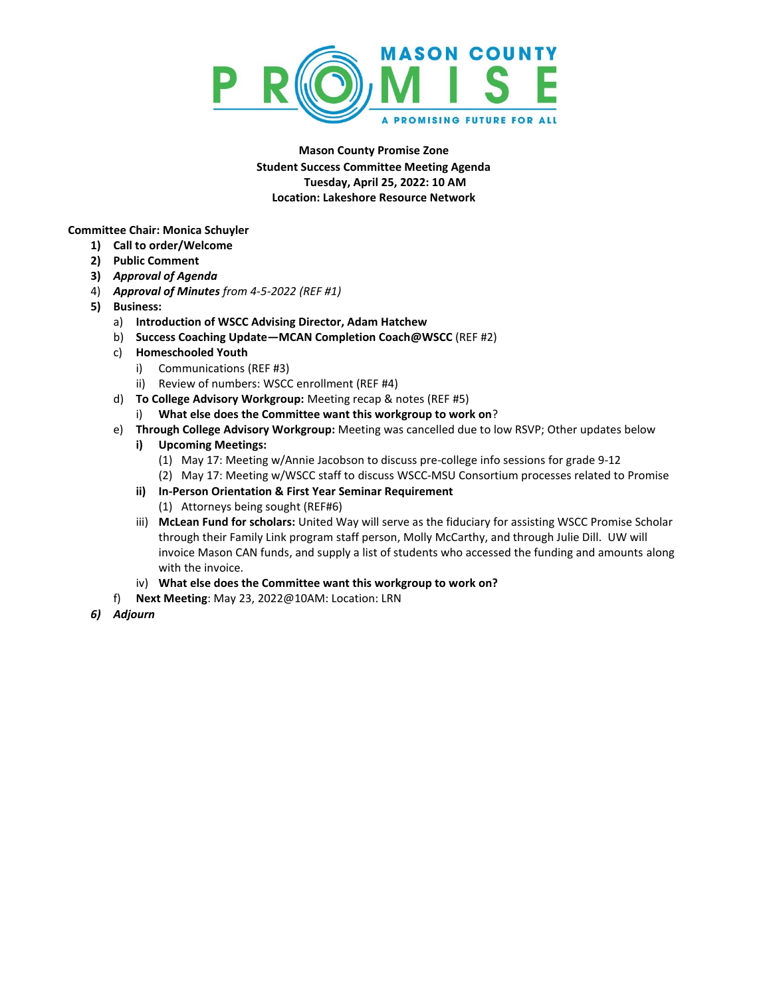

**Mason County Promise Zone Student Success Committee Meeting Agenda Tuesday, April 25, 2022: 10 AM Location: Lakeshore Resource Network**

**Committee Chair: Monica Schuyler**

- **1) Call to order/Welcome**
- **2) Public Comment**
- **3)** *Approval of Agenda*
- 4) *Approval of Minutes from 4-5-2022 (REF #1)*
- **5) Business:**
	- a) **Introduction of WSCC Advising Director, Adam Hatchew**
	- b) **Success Coaching Update—MCAN Completion Coach@WSCC** (REF #2)
	- c) **Homeschooled Youth**
		- i) Communications (REF #3)
		- ii) Review of numbers: WSCC enrollment (REF #4)
	- d) **To College Advisory Workgroup:** Meeting recap & notes (REF #5)
		- i) **What else does the Committee want this workgroup to work on**?
	- e) **Through College Advisory Workgroup:** Meeting was cancelled due to low RSVP; Other updates below
		- **i) Upcoming Meetings:**
			- (1) May 17: Meeting w/Annie Jacobson to discuss pre-college info sessions for grade 9-12
			- (2) May 17: Meeting w/WSCC staff to discuss WSCC-MSU Consortium processes related to Promise
		- **ii) In-Person Orientation & First Year Seminar Requirement**
			- (1) Attorneys being sought (REF#6)
		- iii) **McLean Fund for scholars:** United Way will serve as the fiduciary for assisting WSCC Promise Scholar through their Family Link program staff person, Molly McCarthy, and through Julie Dill. UW will invoice Mason CAN funds, and supply a list of students who accessed the funding and amounts along with the invoice.
		- iv) **What else does the Committee want this workgroup to work on?**
	- f) **Next Meeting**: May 23, 2022@10AM: Location: LRN
- *6) Adjourn*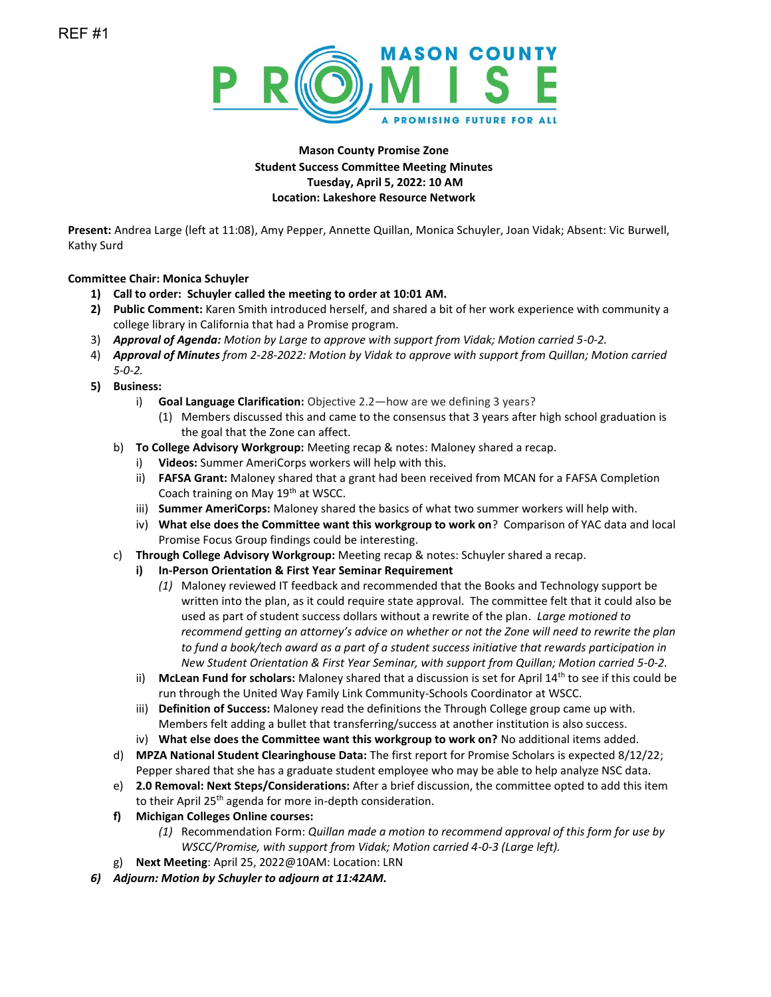

## **Mason County Promise Zone Student Success Committee Meeting Minutes Tuesday, April 5, 2022: 10 AM Location: Lakeshore Resource Network**

**Present:** Andrea Large (left at 11:08), Amy Pepper, Annette Quillan, Monica Schuyler, Joan Vidak; Absent: Vic Burwell, Kathy Surd

## **Committee Chair: Monica Schuyler**

- **1) Call to order: Schuyler called the meeting to order at 10:01 AM.**
- **2) Public Comment:** Karen Smith introduced herself, and shared a bit of her work experience with community a college library in California that had a Promise program.
- 3) *Approval of Agenda: Motion by Large to approve with support from Vidak; Motion carried 5-0-2.*
- 4) *Approval of Minutes from 2-28-2022: Motion by Vidak to approve with support from Quillan; Motion carried 5-0-2.*
- **5) Business:**
	- i) **Goal Language Clarification:** Objective 2.2—how are we defining 3 years?
		- (1) Members discussed this and came to the consensus that 3 years after high school graduation is the goal that the Zone can affect.
	- b) **To College Advisory Workgroup:** Meeting recap & notes: Maloney shared a recap.
		- i) **Videos:** Summer AmeriCorps workers will help with this.
		- ii) **FAFSA Grant:** Maloney shared that a grant had been received from MCAN for a FAFSA Completion Coach training on May 19<sup>th</sup> at WSCC.
		- iii) **Summer AmeriCorps:** Maloney shared the basics of what two summer workers will help with.
		- iv) **What else does the Committee want this workgroup to work on**? Comparison of YAC data and local Promise Focus Group findings could be interesting.
	- c) **Through College Advisory Workgroup:** Meeting recap & notes: Schuyler shared a recap.
		- **i) In-Person Orientation & First Year Seminar Requirement**
			- *(1)* Maloney reviewed IT feedback and recommended that the Books and Technology support be written into the plan, as it could require state approval. The committee felt that it could also be used as part of student success dollars without a rewrite of the plan. *Large motioned to recommend getting an attorney's advice on whether or not the Zone will need to rewrite the plan to fund a book/tech award as a part of a student success initiative that rewards participation in New Student Orientation & First Year Seminar, with support from Quillan; Motion carried 5-0-2.*
		- ii) **McLean Fund for scholars:** Maloney shared that a discussion is set for April 14th to see if this could be run through the United Way Family Link Community-Schools Coordinator at WSCC.
		- iii) **Definition of Success:** Maloney read the definitions the Through College group came up with. Members felt adding a bullet that transferring/success at another institution is also success.
		- iv) **What else does the Committee want this workgroup to work on?** No additional items added.
	- d) **MPZA National Student Clearinghouse Data:** The first report for Promise Scholars is expected 8/12/22; Pepper shared that she has a graduate student employee who may be able to help analyze NSC data.
	- e) **2.0 Removal: Next Steps/Considerations:** After a brief discussion, the committee opted to add this item to their April 25<sup>th</sup> agenda for more in-depth consideration.
	- **f) Michigan Colleges Online courses:**
		- *(1)* Recommendation Form: *Quillan made a motion to recommend approval of this form for use by WSCC/Promise, with support from Vidak; Motion carried 4-0-3 (Large left).*
	- g) **Next Meeting**: April 25, 2022@10AM: Location: LRN
- *6) Adjourn: Motion by Schuyler to adjourn at 11:42AM.*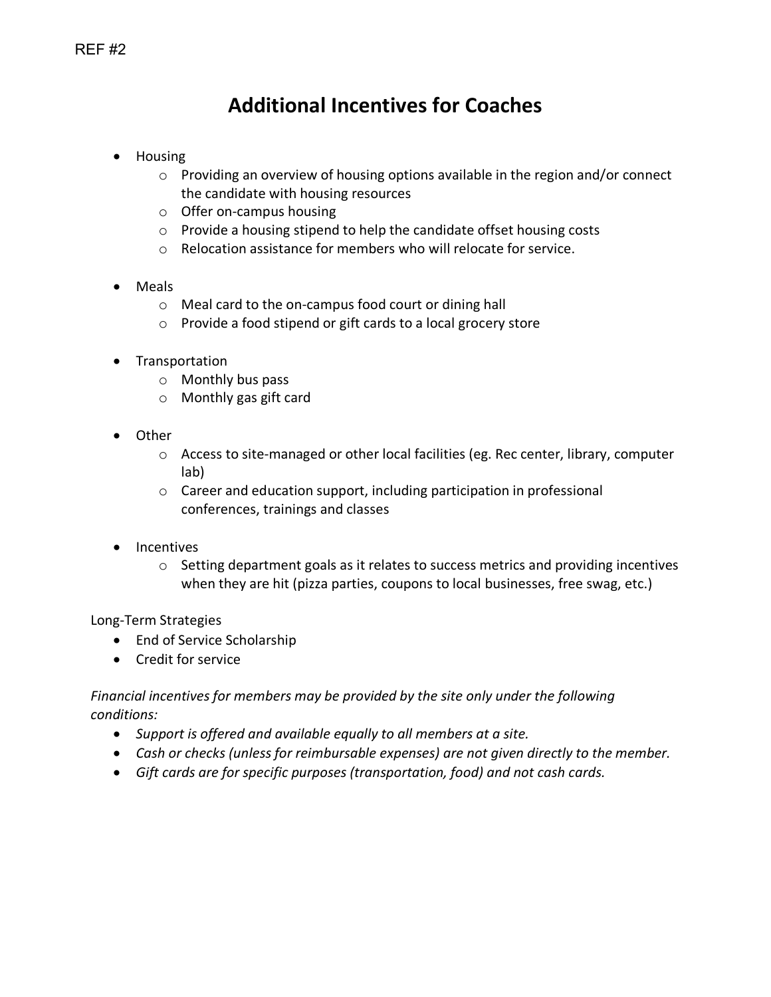# **Additional Incentives for Coaches**

- Housing
	- o Providing an overview of housing options available in the region and/or connect the candidate with housing resources
	- o Offer on-campus housing
	- o Provide a housing stipend to help the candidate offset housing costs
	- o Relocation assistance for members who will relocate for service.
- Meals
	- o Meal card to the on-campus food court or dining hall
	- o Provide a food stipend or gift cards to a local grocery store
- Transportation
	- o Monthly bus pass
	- o Monthly gas gift card
- Other
	- o Access to site-managed or other local facilities (eg. Rec center, library, computer lab)
	- o Career and education support, including participation in professional conferences, trainings and classes
- Incentives
	- $\circ$  Setting department goals as it relates to success metrics and providing incentives when they are hit (pizza parties, coupons to local businesses, free swag, etc.)

## Long-Term Strategies

- End of Service Scholarship
- Credit for service

## *Financial incentives for members may be provided by the site only under the following conditions:*

- *Support is offered and available equally to all members at a site.*
- *Cash or checks (unless for reimbursable expenses) are not given directly to the member.*
- *Gift cards are for specific purposes (transportation, food) and not cash cards.*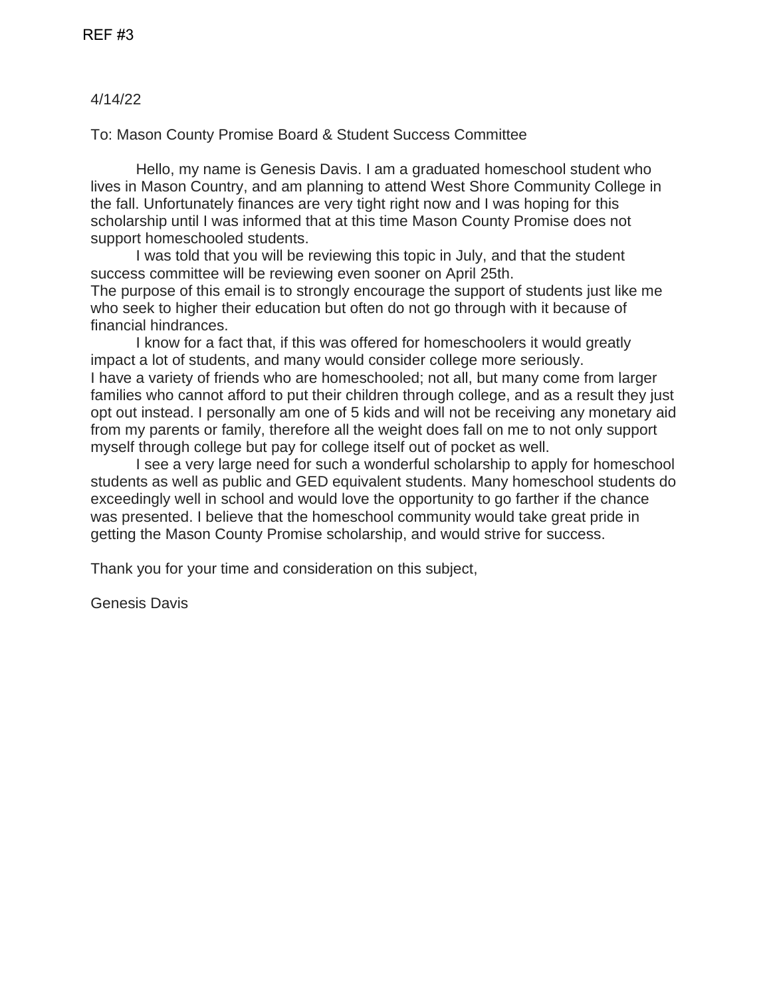## 4/14/22

To: Mason County Promise Board & Student Success Committee

Hello, my name is Genesis Davis. I am a graduated homeschool student who lives in Mason Country, and am planning to attend West Shore Community College in the fall. Unfortunately finances are very tight right now and I was hoping for this scholarship until I was informed that at this time Mason County Promise does not support homeschooled students.

I was told that you will be reviewing this topic in July, and that the student success committee will be reviewing even sooner on April 25th. The purpose of this email is to strongly encourage the support of students just like me who seek to higher their education but often do not go through with it because of financial hindrances.

I know for a fact that, if this was offered for homeschoolers it would greatly impact a lot of students, and many would consider college more seriously. I have a variety of friends who are homeschooled; not all, but many come from larger families who cannot afford to put their children through college, and as a result they just opt out instead. I personally am one of 5 kids and will not be receiving any monetary aid from my parents or family, therefore all the weight does fall on me to not only support myself through college but pay for college itself out of pocket as well.

I see a very large need for such a wonderful scholarship to apply for homeschool students as well as public and GED equivalent students. Many homeschool students do exceedingly well in school and would love the opportunity to go farther if the chance was presented. I believe that the homeschool community would take great pride in getting the Mason County Promise scholarship, and would strive for success.

Thank you for your time and consideration on this subject,

Genesis Davis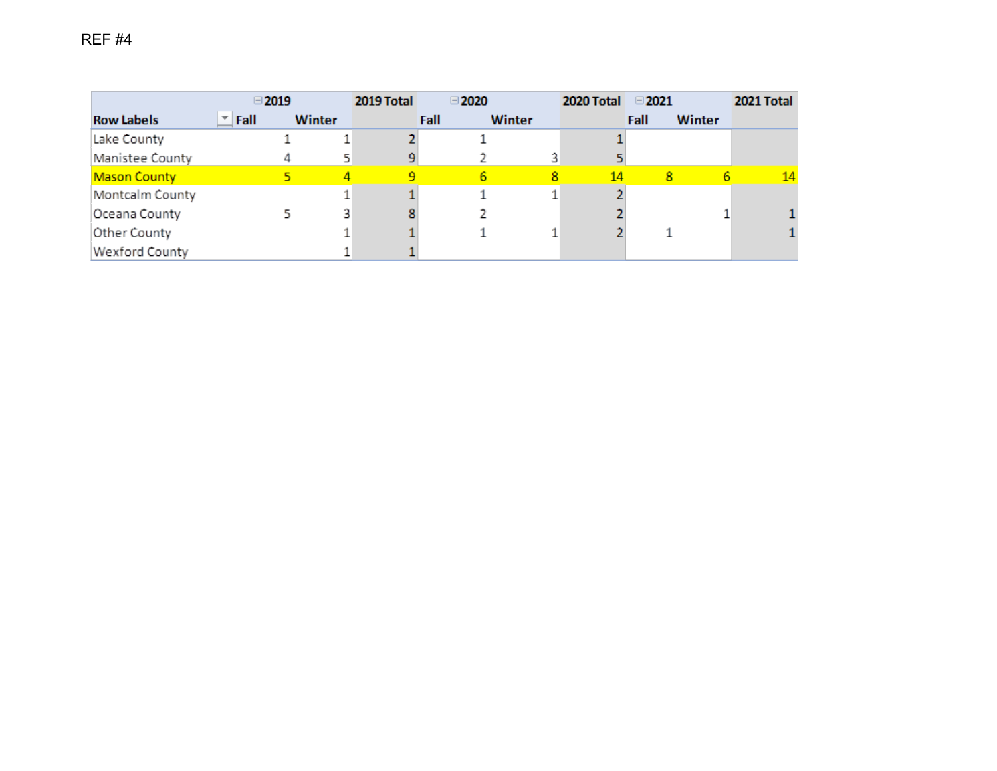|                     | $\Box$ 2019 |               | 2019 Total | $\Box$ 2020 |        | 2020 Total | $\Box$ 2021    | 2021 Total |
|---------------------|-------------|---------------|------------|-------------|--------|------------|----------------|------------|
| <b>Row Labels</b>   | Fall<br>▼∣  | <b>Winter</b> |            | Fall        | Winter |            | Fall<br>Winter |            |
| Lake County         |             |               |            |             |        |            |                |            |
| Manistee County     |             | 4             |            |             |        |            |                |            |
| <b>Mason County</b> |             |               |            | 6.          | 8      | 14         | 8              | 14         |
| Montcalm County     |             |               |            |             |        |            |                |            |
| Oceana County       |             |               |            |             |        |            |                |            |
| Other County        |             |               |            |             |        |            |                |            |
| Wexford County      |             |               |            |             |        |            |                |            |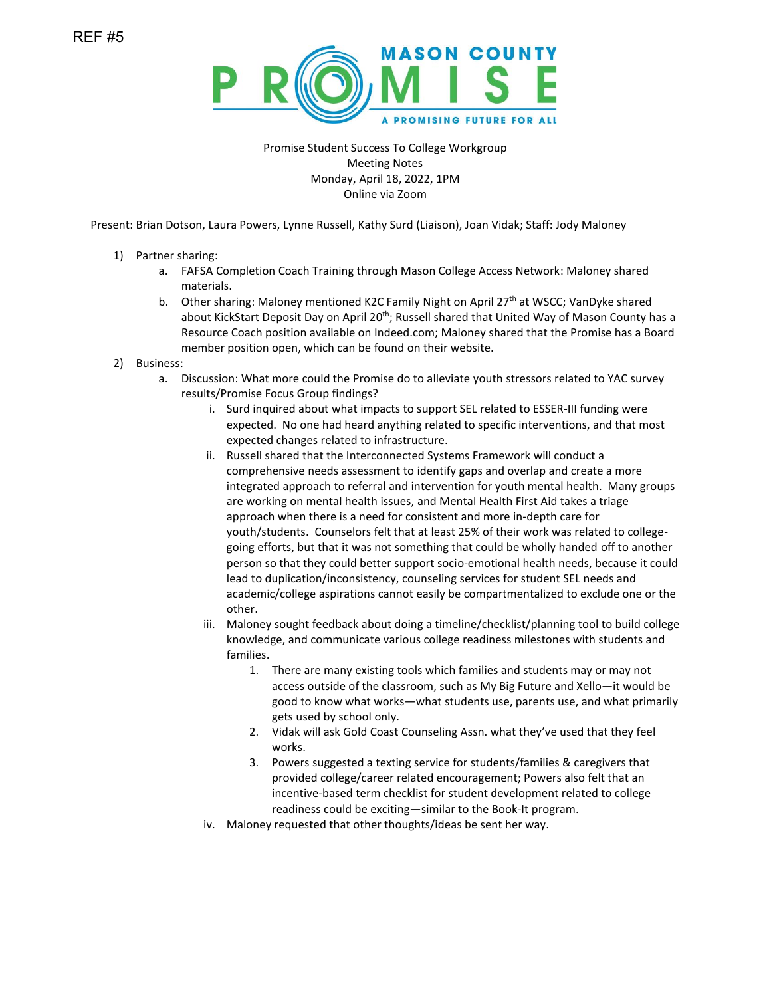

Promise Student Success To College Workgroup Meeting Notes Monday, April 18, 2022, 1PM Online via Zoom

Present: Brian Dotson, Laura Powers, Lynne Russell, Kathy Surd (Liaison), Joan Vidak; Staff: Jody Maloney

- 1) Partner sharing:
	- a. FAFSA Completion Coach Training through Mason College Access Network: Maloney shared materials.
	- b. Other sharing: Maloney mentioned K2C Family Night on April  $27<sup>th</sup>$  at WSCC; VanDyke shared about KickStart Deposit Day on April 20<sup>th</sup>; Russell shared that United Way of Mason County has a Resource Coach position available on Indeed.com; Maloney shared that the Promise has a Board member position open, which can be found on their website.
- 2) Business:
	- a. Discussion: What more could the Promise do to alleviate youth stressors related to YAC survey results/Promise Focus Group findings?
		- i. Surd inquired about what impacts to support SEL related to ESSER-III funding were expected. No one had heard anything related to specific interventions, and that most expected changes related to infrastructure.
		- ii. Russell shared that the Interconnected Systems Framework will conduct a comprehensive needs assessment to identify gaps and overlap and create a more integrated approach to referral and intervention for youth mental health. Many groups are working on mental health issues, and Mental Health First Aid takes a triage approach when there is a need for consistent and more in-depth care for youth/students. Counselors felt that at least 25% of their work was related to collegegoing efforts, but that it was not something that could be wholly handed off to another person so that they could better support socio-emotional health needs, because it could lead to duplication/inconsistency, counseling services for student SEL needs and academic/college aspirations cannot easily be compartmentalized to exclude one or the other.
		- iii. Maloney sought feedback about doing a timeline/checklist/planning tool to build college knowledge, and communicate various college readiness milestones with students and families.
			- 1. There are many existing tools which families and students may or may not access outside of the classroom, such as My Big Future and Xello—it would be good to know what works—what students use, parents use, and what primarily gets used by school only.
			- 2. Vidak will ask Gold Coast Counseling Assn. what they've used that they feel works.
			- 3. Powers suggested a texting service for students/families & caregivers that provided college/career related encouragement; Powers also felt that an incentive-based term checklist for student development related to college readiness could be exciting—similar to the Book-It program.
		- iv. Maloney requested that other thoughts/ideas be sent her way.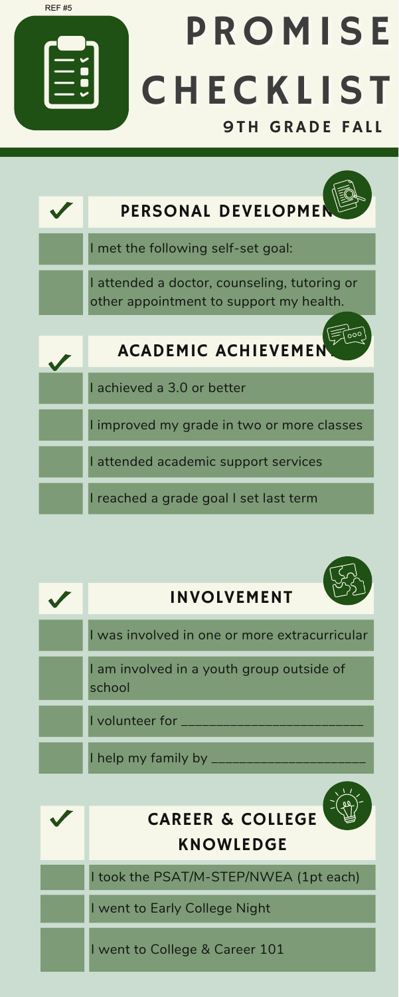





I went to College & Career 101

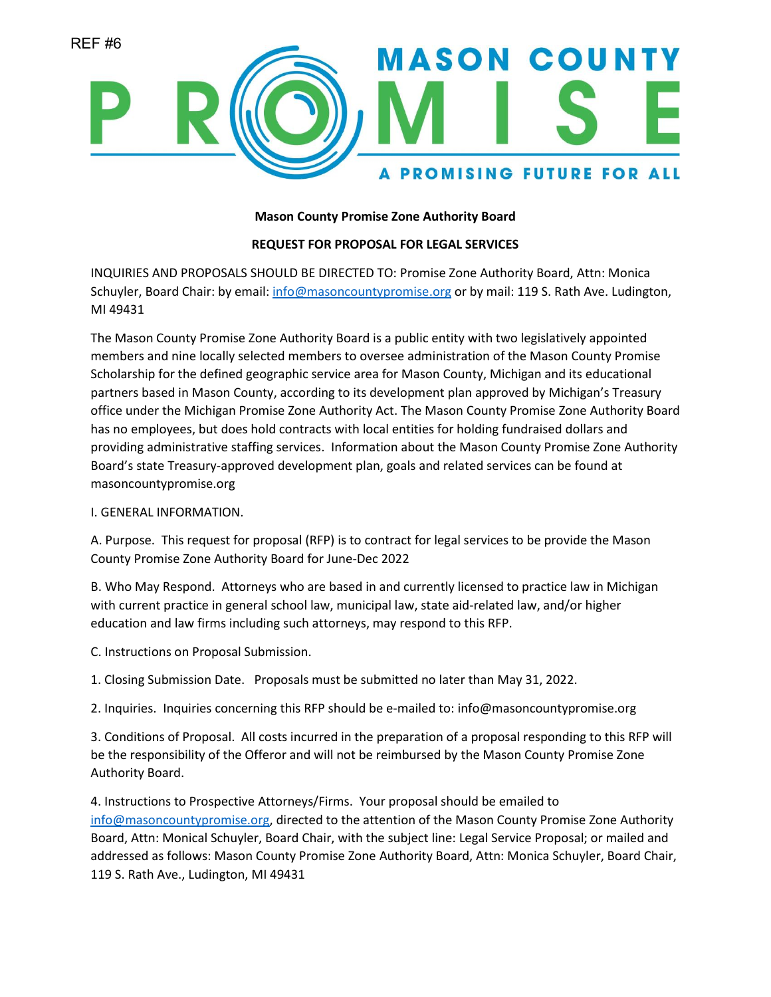

## **Mason County Promise Zone Authority Board**

## **REQUEST FOR PROPOSAL FOR LEGAL SERVICES**

INQUIRIES AND PROPOSALS SHOULD BE DIRECTED TO: Promise Zone Authority Board, Attn: Monica Schuyler, Board Chair: by email[: info@masoncountypromise.org](mailto:info@masoncountypromise.org) or by mail: 119 S. Rath Ave. Ludington, MI 49431

The Mason County Promise Zone Authority Board is a public entity with two legislatively appointed members and nine locally selected members to oversee administration of the Mason County Promise Scholarship for the defined geographic service area for Mason County, Michigan and its educational partners based in Mason County, according to its development plan approved by Michigan's Treasury office under the Michigan Promise Zone Authority Act. The Mason County Promise Zone Authority Board has no employees, but does hold contracts with local entities for holding fundraised dollars and providing administrative staffing services. Information about the Mason County Promise Zone Authority Board's state Treasury-approved development plan, goals and related services can be found at masoncountypromise.org

#### I. GENERAL INFORMATION.

A. Purpose. This request for proposal (RFP) is to contract for legal services to be provide the Mason County Promise Zone Authority Board for June-Dec 2022

B. Who May Respond. Attorneys who are based in and currently licensed to practice law in Michigan with current practice in general school law, municipal law, state aid-related law, and/or higher education and law firms including such attorneys, may respond to this RFP.

C. Instructions on Proposal Submission.

1. Closing Submission Date. Proposals must be submitted no later than May 31, 2022.

2. Inquiries. Inquiries concerning this RFP should be e-mailed to: info@masoncountypromise.org

3. Conditions of Proposal. All costs incurred in the preparation of a proposal responding to this RFP will be the responsibility of the Offeror and will not be reimbursed by the Mason County Promise Zone Authority Board.

4. Instructions to Prospective Attorneys/Firms. Your proposal should be emailed to [info@masoncountypromise.org,](mailto:info@masoncountypromise.org) directed to the attention of the Mason County Promise Zone Authority Board, Attn: Monical Schuyler, Board Chair, with the subject line: Legal Service Proposal; or mailed and addressed as follows: Mason County Promise Zone Authority Board, Attn: Monica Schuyler, Board Chair, 119 S. Rath Ave., Ludington, MI 49431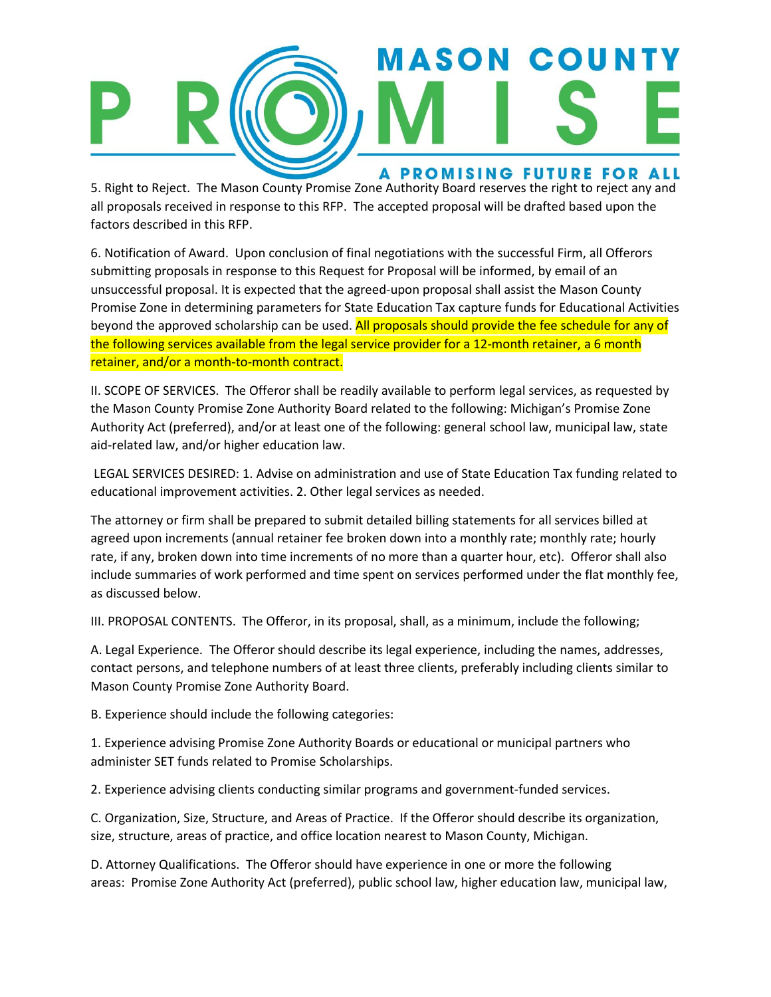

5. Right to Reject. The Mason County Promise Zone Authority Board reserves the right to reject any and all proposals received in response to this RFP. The accepted proposal will be drafted based upon the factors described in this RFP.

6. Notification of Award. Upon conclusion of final negotiations with the successful Firm, all Offerors submitting proposals in response to this Request for Proposal will be informed, by email of an unsuccessful proposal. It is expected that the agreed-upon proposal shall assist the Mason County Promise Zone in determining parameters for State Education Tax capture funds for Educational Activities beyond the approved scholarship can be used. All proposals should provide the fee schedule for any of the following services available from the legal service provider for a 12-month retainer, a 6 month retainer, and/or a month-to-month contract.

II. SCOPE OF SERVICES. The Offeror shall be readily available to perform legal services, as requested by the Mason County Promise Zone Authority Board related to the following: Michigan's Promise Zone Authority Act (preferred), and/or at least one of the following: general school law, municipal law, state aid-related law, and/or higher education law.

LEGAL SERVICES DESIRED: 1. Advise on administration and use of State Education Tax funding related to educational improvement activities. 2. Other legal services as needed.

The attorney or firm shall be prepared to submit detailed billing statements for all services billed at agreed upon increments (annual retainer fee broken down into a monthly rate; monthly rate; hourly rate, if any, broken down into time increments of no more than a quarter hour, etc). Offeror shall also include summaries of work performed and time spent on services performed under the flat monthly fee, as discussed below.

III. PROPOSAL CONTENTS. The Offeror, in its proposal, shall, as a minimum, include the following;

A. Legal Experience. The Offeror should describe its legal experience, including the names, addresses, contact persons, and telephone numbers of at least three clients, preferably including clients similar to Mason County Promise Zone Authority Board.

B. Experience should include the following categories:

1. Experience advising Promise Zone Authority Boards or educational or municipal partners who administer SET funds related to Promise Scholarships.

2. Experience advising clients conducting similar programs and government‐funded services.

C. Organization, Size, Structure, and Areas of Practice. If the Offeror should describe its organization, size, structure, areas of practice, and office location nearest to Mason County, Michigan.

D. Attorney Qualifications. The Offeror should have experience in one or more the following areas: Promise Zone Authority Act (preferred), public school law, higher education law, municipal law,